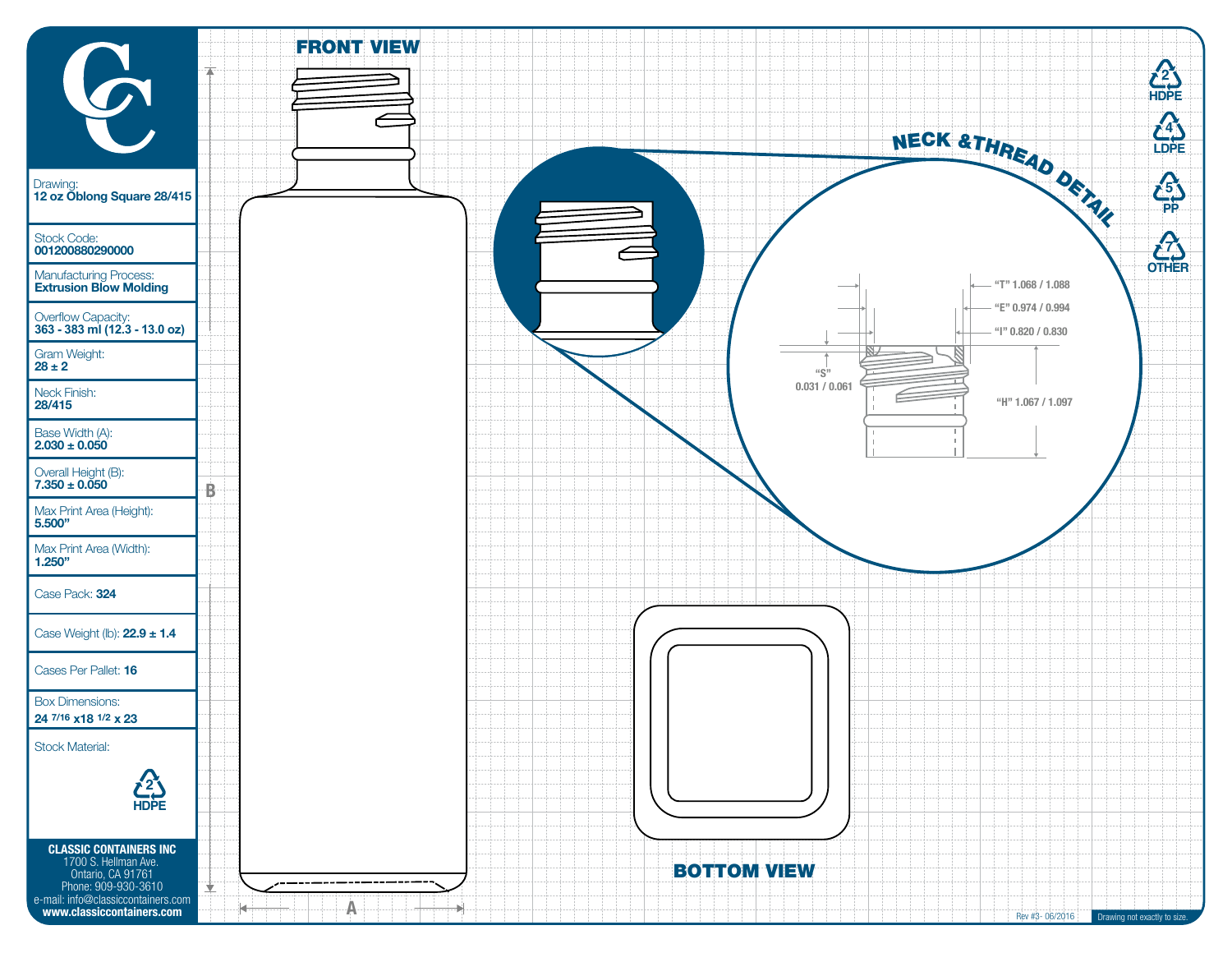